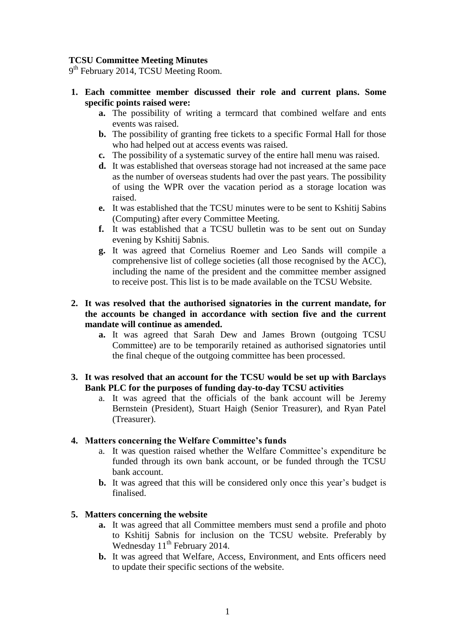# **TCSU Committee Meeting Minutes**

9<sup>th</sup> February 2014, TCSU Meeting Room.

- **1. Each committee member discussed their role and current plans. Some specific points raised were:**
	- **a.** The possibility of writing a termcard that combined welfare and ents events was raised.
	- **b.** The possibility of granting free tickets to a specific Formal Hall for those who had helped out at access events was raised.
	- **c.** The possibility of a systematic survey of the entire hall menu was raised.
	- **d.** It was established that overseas storage had not increased at the same pace as the number of overseas students had over the past years. The possibility of using the WPR over the vacation period as a storage location was raised.
	- **e.** It was established that the TCSU minutes were to be sent to Kshitij Sabins (Computing) after every Committee Meeting.
	- **f.** It was established that a TCSU bulletin was to be sent out on Sunday evening by Kshitij Sabnis.
	- **g.** It was agreed that Cornelius Roemer and Leo Sands will compile a comprehensive list of college societies (all those recognised by the ACC), including the name of the president and the committee member assigned to receive post. This list is to be made available on the TCSU Website.

## **2. It was resolved that the authorised signatories in the current mandate, for the accounts be changed in accordance with section five and the current mandate will continue as amended.**

- **a.** It was agreed that Sarah Dew and James Brown (outgoing TCSU Committee) are to be temporarily retained as authorised signatories until the final cheque of the outgoing committee has been processed.
- **3. It was resolved that an account for the TCSU would be set up with Barclays Bank PLC for the purposes of funding day-to-day TCSU activities**
	- a. It was agreed that the officials of the bank account will be Jeremy Bernstein (President), Stuart Haigh (Senior Treasurer), and Ryan Patel (Treasurer).

#### **4. Matters concerning the Welfare Committee's funds**

- a. It was question raised whether the Welfare Committee's expenditure be funded through its own bank account, or be funded through the TCSU bank account.
- **b.** It was agreed that this will be considered only once this year's budget is finalised.

#### **5. Matters concerning the website**

- **a.** It was agreed that all Committee members must send a profile and photo to Kshitij Sabnis for inclusion on the TCSU website. Preferably by Wednesday 11<sup>th</sup> February 2014.
- **b.** It was agreed that Welfare, Access, Environment, and Ents officers need to update their specific sections of the website.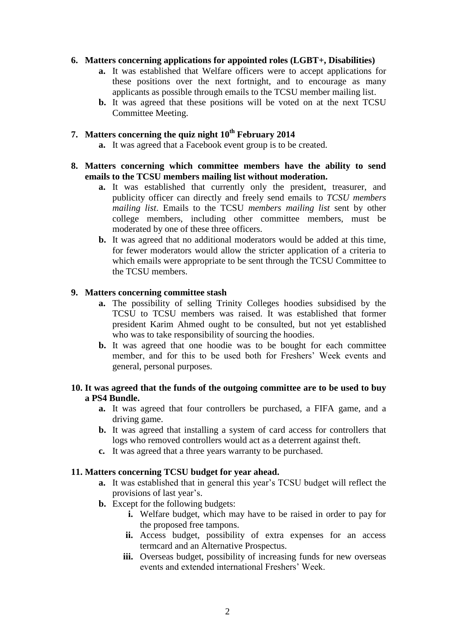## **6. Matters concerning applications for appointed roles (LGBT+, Disabilities)**

- **a.** It was established that Welfare officers were to accept applications for these positions over the next fortnight, and to encourage as many applicants as possible through emails to the TCSU member mailing list.
- **b.** It was agreed that these positions will be voted on at the next TCSU Committee Meeting.

# **7. Matters concerning the quiz night 10th February 2014**

**a.** It was agreed that a Facebook event group is to be created.

## **8. Matters concerning which committee members have the ability to send emails to the TCSU members mailing list without moderation.**

- **a.** It was established that currently only the president, treasurer, and publicity officer can directly and freely send emails to *TCSU members mailing list*. Emails to the TCSU *members mailing list* sent by other college members, including other committee members, must be moderated by one of these three officers.
- **b.** It was agreed that no additional moderators would be added at this time, for fewer moderators would allow the stricter application of a criteria to which emails were appropriate to be sent through the TCSU Committee to the TCSU members.

# **9. Matters concerning committee stash**

- **a.** The possibility of selling Trinity Colleges hoodies subsidised by the TCSU to TCSU members was raised. It was established that former president Karim Ahmed ought to be consulted, but not yet established who was to take responsibility of sourcing the hoodies.
- **b.** It was agreed that one hoodie was to be bought for each committee member, and for this to be used both for Freshers' Week events and general, personal purposes.

# **10. It was agreed that the funds of the outgoing committee are to be used to buy a PS4 Bundle.**

- **a.** It was agreed that four controllers be purchased, a FIFA game, and a driving game.
- **b.** It was agreed that installing a system of card access for controllers that logs who removed controllers would act as a deterrent against theft.
- **c.** It was agreed that a three years warranty to be purchased.

# **11. Matters concerning TCSU budget for year ahead.**

- **a.** It was established that in general this year's TCSU budget will reflect the provisions of last year's.
- **b.** Except for the following budgets:
	- **i.** Welfare budget, which may have to be raised in order to pay for the proposed free tampons.
	- **ii.** Access budget, possibility of extra expenses for an access termcard and an Alternative Prospectus.
	- **iii.** Overseas budget, possibility of increasing funds for new overseas events and extended international Freshers' Week.